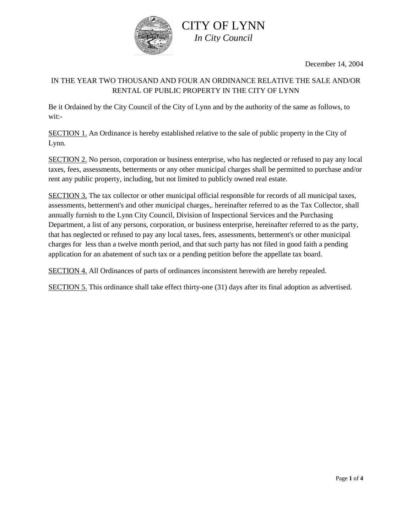

December 14, 2004

### IN THE YEAR TWO THOUSAND AND FOUR AN ORDINANCE RELATIVE THE SALE AND/OR RENTAL OF PUBLIC PROPERTY IN THE CITY OF LYNN

Be it Ordained by the City Council of the City of Lynn and by the authority of the same as follows, to wit:-

SECTION 1. An Ordinance is hereby established relative to the sale of public property in the City of Lynn.

SECTION 2. No person, corporation or business enterprise, who has neglected or refused to pay any local taxes, fees, assessments, betterments or any other municipal charges shall be permitted to purchase and/or rent any public property, including, but not limited to publicly owned real estate.

SECTION 3. The tax collector or other municipal official responsible for records of all municipal taxes, assessments, betterment's and other municipal charges,. hereinafter referred to as the Tax Collector, shall annually furnish to the Lynn City Council, Division of Inspectional Services and the Purchasing Department, a list of any persons, corporation, or business enterprise, hereinafter referred to as the party, that has neglected or refused to pay any local taxes, fees, assessments, betterment's or other municipal charges for less than a twelve month period, and that such party has not filed in good faith a pending application for an abatement of such tax or a pending petition before the appellate tax board.

SECTION 4. All Ordinances of parts of ordinances inconsistent herewith are hereby repealed.

SECTION 5. This ordinance shall take effect thirty-one (31) days after its final adoption as advertised.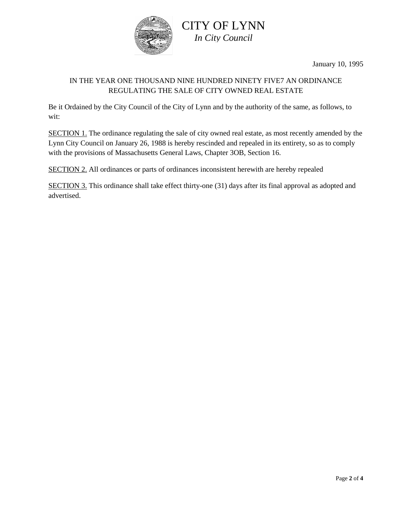

January 10, 1995

## IN THE YEAR ONE THOUSAND NINE HUNDRED NINETY FIVE7 AN ORDINANCE REGULATING THE SALE OF CITY OWNED REAL ESTATE

Be it Ordained by the City Council of the City of Lynn and by the authority of the same, as follows, to wit:

SECTION 1. The ordinance regulating the sale of city owned real estate, as most recently amended by the Lynn City Council on January 26, 1988 is hereby rescinded and repealed in its entirety, so as to comply with the provisions of Massachusetts General Laws, Chapter 3OB, Section 16.

SECTION 2. All ordinances or parts of ordinances inconsistent herewith are hereby repealed

SECTION 3. This ordinance shall take effect thirty-one (31) days after its final approval as adopted and advertised.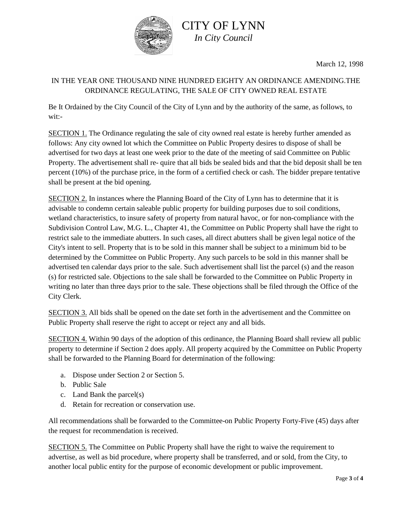

# CITY OF LYNN *In City Council*

March 12, 1998

## IN THE YEAR ONE THOUSAND NINE HUNDRED EIGHTY AN ORDINANCE AMENDING.THE ORDINANCE REGULATING, THE SALE OF CITY OWNED REAL ESTATE

Be It Ordained by the City Council of the City of Lynn and by the authority of the same, as follows, to wit:-

SECTION 1. The Ordinance regulating the sale of city owned real estate is hereby further amended as follows: Any city owned lot which the Committee on Public Property desires to dispose of shall be advertised for two days at least one week prior to the date of the meeting of said Committee on Public Property. The advertisement shall re- quire that all bids be sealed bids and that the bid deposit shall be ten percent (10%) of the purchase price, in the form of a certified check or cash. The bidder prepare tentative shall be present at the bid opening.

SECTION 2. In instances where the Planning Board of the City of Lynn has to determine that it is advisable to condemn certain saleable public property for building purposes due to soil conditions, wetland characteristics, to insure safety of property from natural havoc, or for non-compliance with the Subdivision Control Law, M.G. L., Chapter 41, the Committee on Public Property shall have the right to restrict sale to the immediate abutters. In such cases, all direct abutters shall be given legal notice of the City's intent to sell. Property that is to be sold in this manner shall be subject to a minimum bid to be determined by the Committee on Public Property. Any such parcels to be sold in this manner shall be advertised ten calendar days prior to the sale. Such advertisement shall list the parcel (s) and the reason (s) for restricted sale. Objections to the sale shall be forwarded to the Committee on Public Property in writing no later than three days prior to the sale. These objections shall be filed through the Office of the City Clerk.

SECTION 3. All bids shall be opened on the date set forth in the advertisement and the Committee on Public Property shall reserve the right to accept or reject any and all bids.

SECTION 4. Within 90 days of the adoption of this ordinance, the Planning Board shall review all public property to determine if Section 2 does apply. All property acquired by the Committee on Public Property shall be forwarded to the Planning Board for determination of the following:

- a. Dispose under Section 2 or Section 5.
- b. Public Sale
- c. Land Bank the parcel(s)
- d. Retain for recreation or conservation use.

All recommendations shall be forwarded to the Committee-on Public Property Forty-Five (45) days after the request for recommendation is received.

SECTION 5. The Committee on Public Property shall have the right to waive the requirement to advertise, as well as bid procedure, where property shall be transferred, and or sold, from the City, to another local public entity for the purpose of economic development or public improvement.